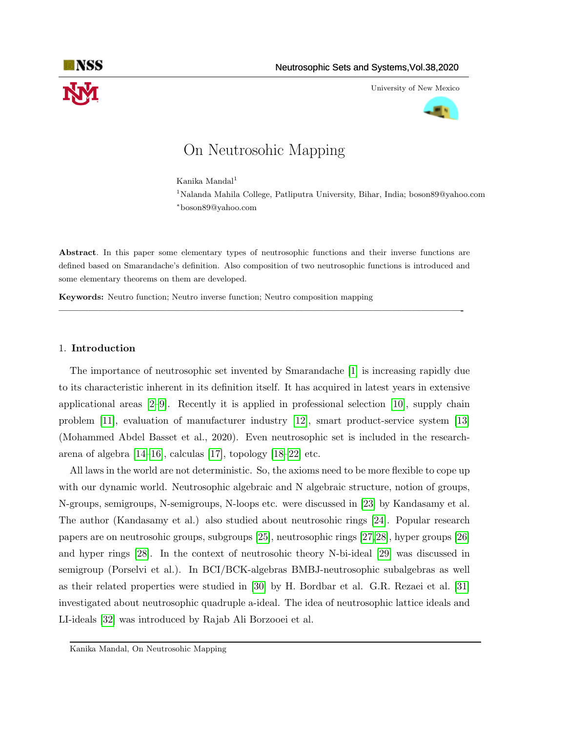

University of New Mexico



# On Neutrosohic Mapping

Kanika Mandal<sup>1</sup> <sup>1</sup>Nalanda Mahila College, Patliputra University, Bihar, India; boson89@yahoo.com <sup>∗</sup>boson89@yahoo.com

Abstract. In this paper some elementary types of neutrosophic functions and their inverse functions are defined based on Smarandache's definition. Also composition of two neutrosophic functions is introduced and some elementary theorems on them are developed.

—————————————————————————————————————————-

Keywords: Neutro function; Neutro inverse function; Neutro composition mapping

## 1. Introduction

The importance of neutrosophic set invented by Smarandache [\[1\]](#page-5-0) is increasing rapidly due to its characteristic inherent in its definition itself. It has acquired in latest years in extensive applicational areas [\[2–](#page-5-1)[9\]](#page-5-2). Recently it is applied in professional selection [\[10\]](#page-5-3), supply chain problem [\[11\]](#page-5-4), evaluation of manufacturer industry [\[12\]](#page-6-0), smart product-service system [\[13\]](#page-6-1) (Mohammed Abdel Basset et al., 2020). Even neutrosophic set is included in the researcharena of algebra [\[14–](#page-6-2)[16\]](#page-6-3), calculas [\[17\]](#page-6-4), topology [\[18–](#page-6-5)[22\]](#page-6-6) etc.

All laws in the world are not deterministic. So, the axioms need to be more flexible to cope up with our dynamic world. Neutrosophic algebraic and N algebraic structure, notion of groups, N-groups, semigroups, N-semigroups, N-loops etc. were discussed in [\[23\]](#page-6-7) by Kandasamy et al. The author (Kandasamy et al.) also studied about neutrosohic rings [\[24\]](#page-6-8). Popular research papers are on neutrosohic groups, subgroups [\[25\]](#page-6-9), neutrosophic rings [\[27,](#page-6-10)[28\]](#page-6-11), hyper groups [\[26\]](#page-6-12) and hyper rings [\[28\]](#page-6-11). In the context of neutrosohic theory N-bi-ideal [\[29\]](#page-6-13) was discussed in semigroup (Porselvi et al.). In BCI/BCK-algebras BMBJ-neutrosophic subalgebras as well as their related properties were studied in [\[30\]](#page-6-14) by H. Bordbar et al. G.R. Rezaei et al. [\[31\]](#page-6-15) investigated about neutrosophic quadruple a-ideal. The idea of neutrosophic lattice ideals and LI-ideals [\[32\]](#page-6-16) was introduced by Rajab Ali Borzooei et al.

Kanika Mandal, On Neutrosohic Mapping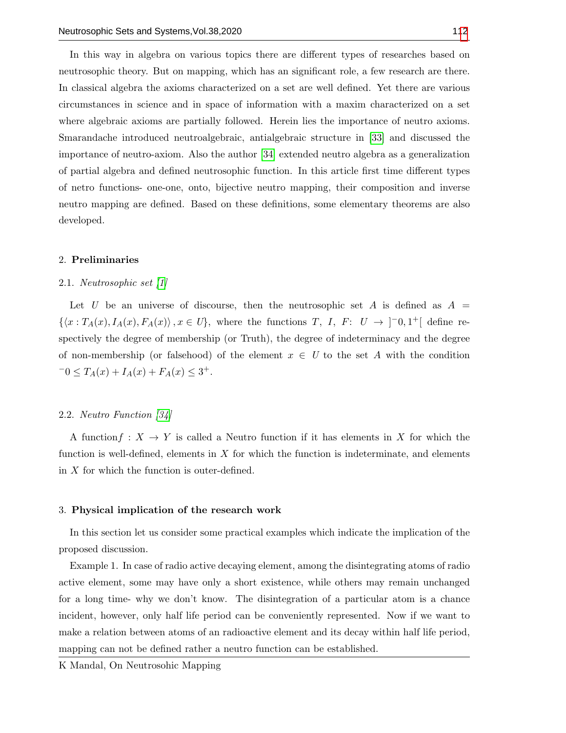In this way in algebra on various topics there are different types of researches based on neutrosophic theory. But on mapping, which has an significant role, a few research are there. In classical algebra the axioms characterized on a set are well defined. Yet there are various circumstances in science and in space of information with a maxim characterized on a set where algebraic axioms are partially followed. Herein lies the importance of neutro axioms. Smarandache introduced neutroalgebraic, antialgebraic structure in [\[33\]](#page-6-17) and discussed the importance of neutro-axiom. Also the author [\[34\]](#page-6-18) extended neutro algebra as a generalization of partial algebra and defined neutrosophic function. In this article first time different types of netro functions- one-one, onto, bijective neutro mapping, their composition and inverse neutro mapping are defined. Based on these definitions, some elementary theorems are also developed.

# 2. Preliminaries

### 2.1. Neutrosophic set [\[1\]](#page-5-0)

Let U be an universe of discourse, then the neutrosophic set A is defined as  $A =$  $\{\langle x : T_A(x), I_A(x), F_A(x) \rangle, x \in U\},\$  where the functions T, I, F:  $U \to ]-0,1^+[$  define respectively the degree of membership (or Truth), the degree of indeterminacy and the degree of non-membership (or falsehood) of the element  $x \in U$  to the set A with the condition  $-0 \leq T_A(x) + I_A(x) + F_A(x) \leq 3^+.$ 

## 2.2. Neutro Function [\[34\]](#page-6-18)

A function  $f: X \to Y$  is called a Neutro function if it has elements in X for which the function is well-defined, elements in  $X$  for which the function is indeterminate, and elements in X for which the function is outer-defined.

#### <span id="page-1-0"></span>3. Physical implication of the research work

In this section let us consider some practical examples which indicate the implication of the proposed discussion.

Example 1. In case of radio active decaying element, among the disintegrating atoms of radio active element, some may have only a short existence, while others may remain unchanged for a long time- why we don't know. The disintegration of a particular atom is a chance incident, however, only half life period can be conveniently represented. Now if we want to make a relation between atoms of an radioactive element and its decay within half life period, mapping can not be defined rather a neutro function can be established.

K Mandal, On Neutrosohic Mapping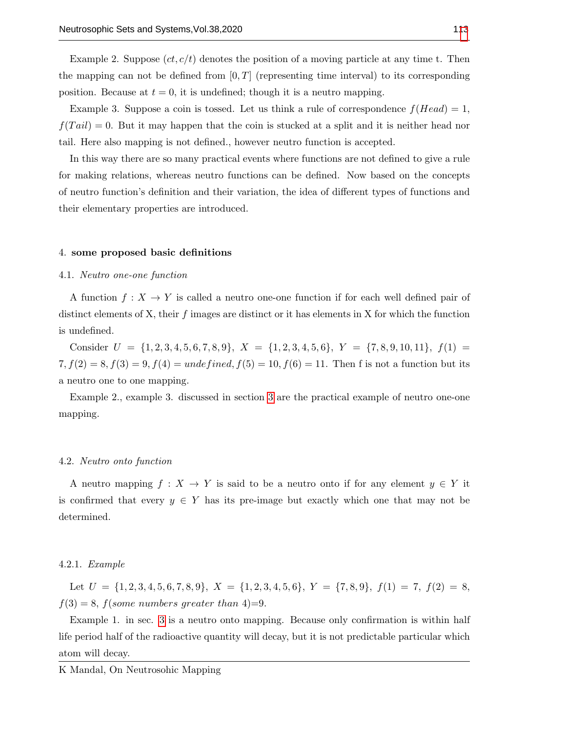Example 2. Suppose  $(ct, c/t)$  denotes the position of a moving particle at any time t. Then the mapping can not be defined from  $[0, T]$  (representing time interval) to its corresponding position. Because at  $t = 0$ , it is undefined; though it is a neutro mapping.

Example 3. Suppose a coin is tossed. Let us think a rule of correspondence  $f(Head) = 1$ ,  $f(Tail) = 0$ . But it may happen that the coin is stucked at a split and it is neither head nor tail. Here also mapping is not defined., however neutro function is accepted.

In this way there are so many practical events where functions are not defined to give a rule for making relations, whereas neutro functions can be defined. Now based on the concepts of neutro function's definition and their variation, the idea of different types of functions and their elementary properties are introduced.

#### 4. some proposed basic definitions

#### 4.1. Neutro one-one function

A function  $f: X \to Y$  is called a neutro one-one function if for each well defined pair of distinct elements of X, their  $f$  images are distinct or it has elements in X for which the function is undefined.

Consider  $U = \{1, 2, 3, 4, 5, 6, 7, 8, 9\}, X = \{1, 2, 3, 4, 5, 6\}, Y = \{7, 8, 9, 10, 11\}, f(1) =$  $7, f(2) = 8, f(3) = 9, f(4) = *undefined*, f(5) = 10, f(6) = 11.$  Then f is not a function but its a neutro one to one mapping.

Example 2., example 3. discussed in section [3](#page-1-0) are the practical example of neutro one-one mapping.

#### 4.2. Neutro onto function

A neutro mapping  $f : X \to Y$  is said to be a neutro onto if for any element  $y \in Y$  it is confirmed that every  $y \in Y$  has its pre-image but exactly which one that may not be determined.

# 4.2.1. Example

Let  $U = \{1, 2, 3, 4, 5, 6, 7, 8, 9\}, X = \{1, 2, 3, 4, 5, 6\}, Y = \{7, 8, 9\}, f(1) = 7, f(2) = 8,$  $f(3) = 8$ ,  $f(some numbers greater than 4)=9$ .

Example 1. in sec. [3](#page-1-0) is a neutro onto mapping. Because only confirmation is within half life period half of the radioactive quantity will decay, but it is not predictable particular which atom will decay.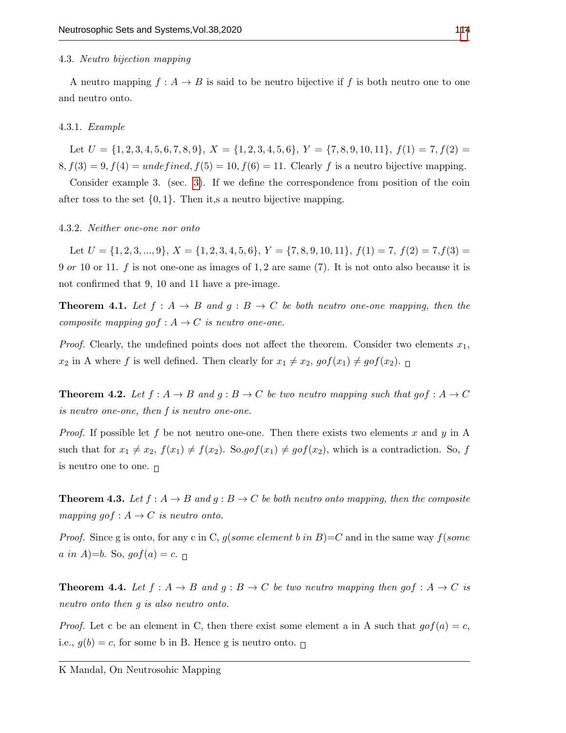### 4.3. Neutro bijection mapping

A neutro mapping  $f : A \to B$  is said to be neutro bijective if f is both neutro one to one and neutro onto.

### 4.3.1. Example

Let  $U = \{1, 2, 3, 4, 5, 6, 7, 8, 9\}, X = \{1, 2, 3, 4, 5, 6\}, Y = \{7, 8, 9, 10, 11\}, f(1) = 7, f(2)$  $8, f(3) = 9, f(4) =$  undefined,  $f(5) = 10, f(6) = 11$ . Clearly f is a neutro bijective mapping.

Consider example 3. (sec. [3\)](#page-1-0). If we define the correspondence from position of the coin after toss to the set  $\{0, 1\}$ . Then it,s a neutro bijective mapping.

## 4.3.2. Neither one-one nor onto

Let  $U = \{1, 2, 3, ..., 9\}, X = \{1, 2, 3, 4, 5, 6\}, Y = \{7, 8, 9, 10, 11\}, f(1) = 7, f(2) = 7, f(3) =$ 9 or 10 or 11. f is not one-one as images of 1, 2 are same  $(7)$ . It is not onto also because it is not confirmed that 9, 10 and 11 have a pre-image.

**Theorem 4.1.** Let  $f : A \rightarrow B$  and  $g : B \rightarrow C$  be both neutro one-one mapping, then the composite mapping gof :  $A \rightarrow C$  is neutro one-one.

*Proof.* Clearly, the undefined points does not affect the theorem. Consider two elements  $x_1$ ,  $x_2$  in A where f is well defined. Then clearly for  $x_1 \neq x_2$ ,  $gof(x_1) \neq gof(x_2)$ .

**Theorem 4.2.** Let  $f : A \rightarrow B$  and  $g : B \rightarrow C$  be two neutro mapping such that gof  $:A \rightarrow C$ is neutro one-one, then f is neutro one-one.

*Proof.* If possible let f be not neutro one-one. Then there exists two elements x and y in A such that for  $x_1 \neq x_2$ ,  $f(x_1) \neq f(x_2)$ . So,  $gof(x_1) \neq gof(x_2)$ , which is a contradiction. So, f is neutro one to one.  $\Box$ 

**Theorem 4.3.** Let  $f : A \rightarrow B$  and  $g : B \rightarrow C$  be both neutro onto mapping, then the composite mapping gof :  $A \rightarrow C$  is neutro onto.

*Proof.* Since g is onto, for any c in C,  $g(some element b in B)=C$  and in the same way  $f(some$ a in A)=b. So,  $gof(a) = c$ .

**Theorem 4.4.** Let  $f : A \rightarrow B$  and  $g : B \rightarrow C$  be two neutro mapping then gof  $: A \rightarrow C$  is neutro onto then g is also neutro onto.

*Proof.* Let c be an element in C, then there exist some element a in A such that  $gof(a) = c$ , i.e.,  $g(b) = c$ , for some b in B. Hence g is neutro onto.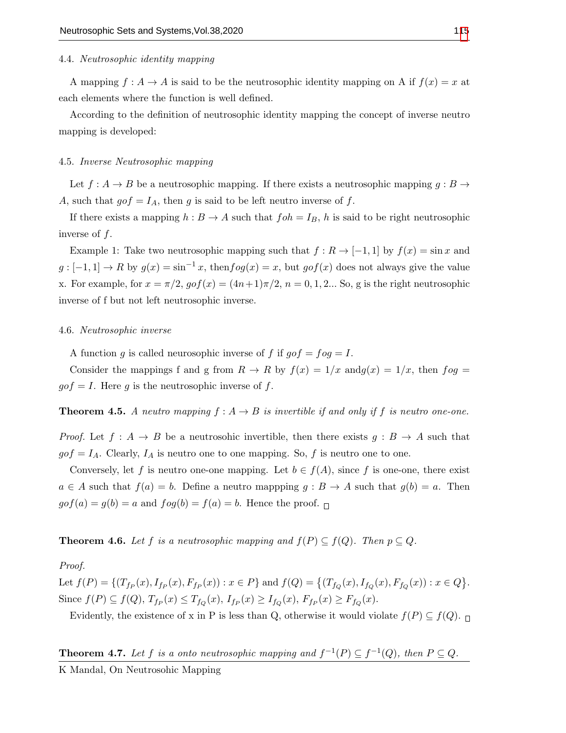### 4.4. Neutrosophic identity mapping

A mapping  $f: A \to A$  is said to be the neutrosophic identity mapping on A if  $f(x) = x$  at each elements where the function is well defined.

According to the definition of neutrosophic identity mapping the concept of inverse neutro mapping is developed:

# 4.5. Inverse Neutrosophic mapping

Let  $f : A \to B$  be a neutrosophic mapping. If there exists a neutrosophic mapping  $g : B \to$ A, such that  $g \circ f = I_A$ , then g is said to be left neutro inverse of f.

If there exists a mapping  $h : B \to A$  such that  $foh = I_B$ , h is said to be right neutrosophic inverse of  $f$ .

Example 1: Take two neutrosophic mapping such that  $f: R \to [-1, 1]$  by  $f(x) = \sin x$  and  $g: [-1,1] \to R$  by  $g(x) = \sin^{-1} x$ , then  $f \circ g(x) = x$ , but  $g \circ f(x)$  does not always give the value x. For example, for  $x = \pi/2$ ,  $gof(x) = (4n+1)\pi/2$ ,  $n = 0, 1, 2...$  So, g is the right neutrosophic inverse of f but not left neutrosophic inverse.

#### 4.6. Neutrosophic inverse

A function g is called neurosophic inverse of f if  $qof = fog = I$ .

Consider the mappings f and g from  $R \to R$  by  $f(x) = 1/x$  and  $g(x) = 1/x$ , then  $f \circ g =$  $gof = I$ . Here g is the neutrosophic inverse of f.

**Theorem 4.5.** A neutro mapping  $f : A \rightarrow B$  is invertible if and only if f is neutro one-one.

*Proof.* Let  $f : A \to B$  be a neutrosohic invertible, then there exists  $g : B \to A$  such that  $g \circ f = I_A$ . Clearly,  $I_A$  is neutro one to one mapping. So, f is neutro one to one.

Conversely, let f is neutro one-one mapping. Let  $b \in f(A)$ , since f is one-one, there exist  $a \in A$  such that  $f(a) = b$ . Define a neutro mappping  $g : B \to A$  such that  $g(b) = a$ . Then  $g \circ f(a) = g(b) = a$  and  $f \circ g(b) = f(a) = b$ . Hence the proof.  $\Box$ 

**Theorem 4.6.** Let f is a neutrosophic mapping and  $f(P) \subseteq f(Q)$ . Then  $p \subseteq Q$ .

#### Proof.

Let  $f(P) = \{(T_{fp}(x), I_{fp}(x), F_{fp}(x)) : x \in P\}$  and  $f(Q) = \{(T_{f_Q}(x), I_{f_Q}(x), F_{f_Q}(x)) : x \in Q\}$ . Since  $f(P) \subseteq f(Q)$ ,  $T_{f_P}(x) \le T_{f_Q}(x)$ ,  $I_{f_P}(x) \ge I_{f_Q}(x)$ ,  $F_{f_P}(x) \ge F_{f_Q}(x)$ .

Evidently, the existence of x in P is less than Q, otherwise it would violate  $f(P) \subseteq f(Q)$ .

**Theorem 4.7.** Let f is a onto neutrosophic mapping and  $f^{-1}(P) \subseteq f^{-1}(Q)$ , then  $P \subseteq Q$ .

K Mandal, On Neutrosohic Mapping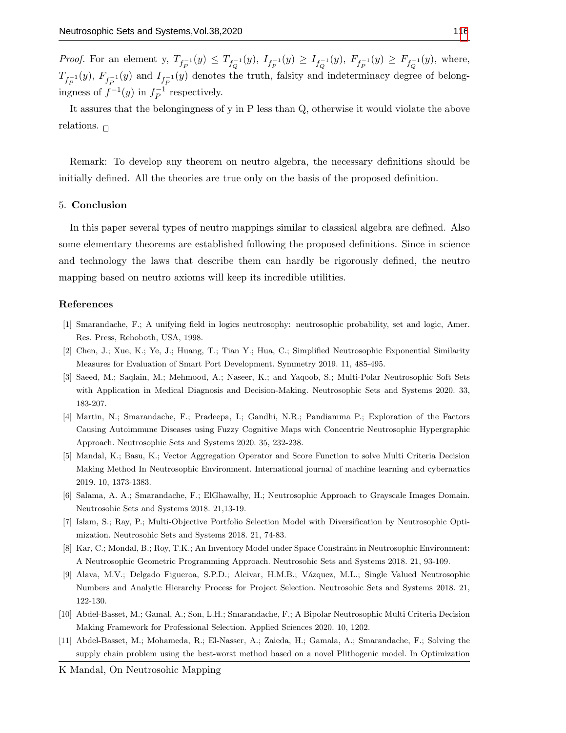*Proof.* For an element y,  $T_{f_P^{-1}}(y) \leq T_{f_Q^{-1}}(y)$ ,  $I_{f_P^{-1}}(y) \geq I_{f_Q^{-1}}(y)$ ,  $F_{f_P^{-1}}(y) \geq F_{f_Q^{-1}}(y)$ , where,  $T_{f_P^{-1}}(y)$ ,  $F_{f_P^{-1}}(y)$  and  $I_{f_P^{-1}}(y)$  denotes the truth, falsity and indeterminacy degree of belongingness of  $f^{-1}(y)$  in  $f^{-1}_{P}$  $\overline{P}^1$  respectively.

It assures that the belongingness of y in P less than Q, otherwise it would violate the above relations.  $\Box$ 

Remark: To develop any theorem on neutro algebra, the necessary definitions should be initially defined. All the theories are true only on the basis of the proposed definition.

#### 5. Conclusion

In this paper several types of neutro mappings similar to classical algebra are defined. Also some elementary theorems are established following the proposed definitions. Since in science and technology the laws that describe them can hardly be rigorously defined, the neutro mapping based on neutro axioms will keep its incredible utilities.

#### References

- <span id="page-5-0"></span>[1] Smarandache, F.; A unifying field in logics neutrosophy: neutrosophic probability, set and logic, Amer. Res. Press, Rehoboth, USA, 1998.
- <span id="page-5-1"></span>[2] Chen, J.; Xue, K.; Ye, J.; Huang, T.; Tian Y.; Hua, C.; Simplified Neutrosophic Exponential Similarity Measures for Evaluation of Smart Port Development. Symmetry 2019. 11, 485-495.
- [3] Saeed, M.; Saqlain, M.; Mehmood, A.; Naseer, K.; and Yaqoob, S.; Multi-Polar Neutrosophic Soft Sets with Application in Medical Diagnosis and Decision-Making. Neutrosophic Sets and Systems 2020. 33, 183-207.
- [4] Martin, N.; Smarandache, F.; Pradeepa, I.; Gandhi, N.R.; Pandiamma P.; Exploration of the Factors Causing Autoimmune Diseases using Fuzzy Cognitive Maps with Concentric Neutrosophic Hypergraphic Approach. Neutrosophic Sets and Systems 2020. 35, 232-238.
- [5] Mandal, K.; Basu, K.; Vector Aggregation Operator and Score Function to solve Multi Criteria Decision Making Method In Neutrosophic Environment. International journal of machine learning and cybernatics 2019. 10, 1373-1383.
- [6] Salama, A. A.; Smarandache, F.; ElGhawalby, H.; Neutrosophic Approach to Grayscale Images Domain. Neutrosohic Sets and Systems 2018. 21,13-19.
- [7] Islam, S.; Ray, P.; Multi-Objective Portfolio Selection Model with Diversification by Neutrosophic Optimization. Neutrosohic Sets and Systems 2018. 21, 74-83.
- [8] Kar, C.; Mondal, B.; Roy, T.K.; An Inventory Model under Space Constraint in Neutrosophic Environment: A Neutrosophic Geometric Programming Approach. Neutrosohic Sets and Systems 2018. 21, 93-109.
- <span id="page-5-2"></span>[9] Alava, M.V.; Delgado Figueroa, S.P.D.; Alcivar, H.M.B.; Vázquez, M.L.; Single Valued Neutrosophic Numbers and Analytic Hierarchy Process for Project Selection. Neutrosohic Sets and Systems 2018. 21, 122-130.
- <span id="page-5-3"></span>[10] Abdel-Basset, M.; Gamal, A.; Son, L.H.; Smarandache, F.; A Bipolar Neutrosophic Multi Criteria Decision Making Framework for Professional Selection. Applied Sciences 2020. 10, 1202.
- <span id="page-5-4"></span>[11] Abdel-Basset, M.; Mohameda, R.; El-Nasser, A.; Zaieda, H.; Gamala, A.; Smarandache, F.; Solving the supply chain problem using the best-worst method based on a novel Plithogenic model. In Optimization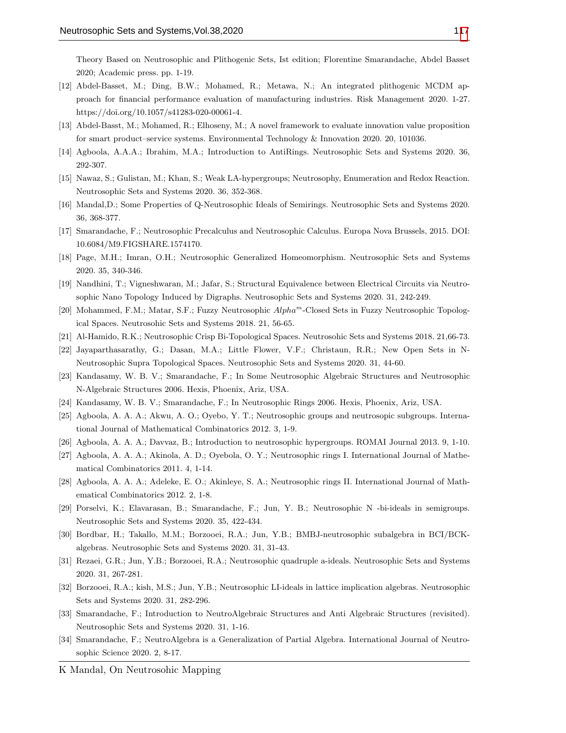Theory Based on Neutrosophic and Plithogenic Sets, Ist edition; Florentine Smarandache, Abdel Basset 2020; Academic press. pp. 1-19.

- <span id="page-6-0"></span>[12] Abdel-Basset, M.; Ding, B.W.; Mohamed, R.; Metawa, N.; An integrated plithogenic MCDM approach for financial performance evaluation of manufacturing industries. Risk Management 2020. 1-27. https://doi.org/10.1057/s41283-020-00061-4.
- <span id="page-6-1"></span>[13] Abdel-Basst, M.; Mohamed, R.; Elhoseny, M.; A novel framework to evaluate innovation value proposition for smart product–service systems. Environmental Technology & Innovation 2020. 20, 101036.
- <span id="page-6-2"></span>[14] Agboola, A.A.A.; Ibrahim, M.A.; Introduction to AntiRings. Neutrosophic Sets and Systems 2020. 36, 292-307.
- [15] Nawaz, S.; Gulistan, M.; Khan, S.; Weak LA-hypergroups; Neutrosophy, Enumeration and Redox Reaction. Neutrosophic Sets and Systems 2020. 36, 352-368.
- <span id="page-6-3"></span>[16] Mandal,D.; Some Properties of Q-Neutrosophic Ideals of Semirings. Neutrosophic Sets and Systems 2020. 36, 368-377.
- <span id="page-6-4"></span>[17] Smarandache, F.; Neutrosophic Precalculus and Neutrosophic Calculus. Europa Nova Brussels, 2015. DOI: 10.6084/M9.FIGSHARE.1574170.
- <span id="page-6-5"></span>[18] Page, M.H.; Imran, O.H.; Neutrosophic Generalized Homeomorphism. Neutrosophic Sets and Systems 2020. 35, 340-346.
- [19] Nandhini, T.; Vigneshwaran, M.; Jafar, S.; Structural Equivalence between Electrical Circuits via Neutrosophic Nano Topology Induced by Digraphs. Neutrosophic Sets and Systems 2020. 31, 242-249.
- [20] Mohammed, F.M.; Matar, S.F.; Fuzzy Neutrosophic Alpha<sup>m</sup>-Closed Sets in Fuzzy Neutrosophic Topological Spaces. Neutrosohic Sets and Systems 2018. 21, 56-65.
- [21] Al-Hamido, R.K.; Neutrosophic Crisp Bi-Topological Spaces. Neutrosohic Sets and Systems 2018. 21,66-73.
- <span id="page-6-6"></span>[22] Jayaparthasarathy, G.; Dasan, M.A.; Little Flower, V.F.; Christaun, R.R.; New Open Sets in N-Neutrosophic Supra Topological Spaces. Neutrosophic Sets and Systems 2020. 31, 44-60.
- <span id="page-6-7"></span>[23] Kandasamy, W. B. V.; Smarandache, F.; In Some Neutrosophic Algebraic Structures and Neutrosophic N-Algebraic Structures 2006. Hexis, Phoenix, Ariz, USA.
- <span id="page-6-8"></span>[24] Kandasamy, W. B. V.; Smarandache, F.; In Neutrosophic Rings 2006. Hexis, Phoenix, Ariz, USA.
- <span id="page-6-9"></span>[25] Agboola, A. A. A.; Akwu, A. O.; Oyebo, Y. T.; Neutrosophic groups and neutrosopic subgroups. International Journal of Mathematical Combinatorics 2012. 3, 1-9.
- <span id="page-6-12"></span>[26] Agboola, A. A. A.; Davvaz, B.; Introduction to neutrosophic hypergroups. ROMAI Journal 2013. 9, 1-10.
- <span id="page-6-10"></span>[27] Agboola, A. A. A.; Akinola, A. D.; Oyebola, O. Y.; Neutrosophic rings I. International Journal of Mathematical Combinatorics 2011. 4, 1-14.
- <span id="page-6-11"></span>[28] Agboola, A. A. A.; Adeleke, E. O.; Akinleye, S. A.; Neutrosophic rings II. International Journal of Mathematical Combinatorics 2012. 2, 1-8.
- <span id="page-6-13"></span>[29] Porselvi, K.; Elavarasan, B.; Smarandache, F.; Jun, Y. B.; Neutrosophic N -bi-ideals in semigroups. Neutrosophic Sets and Systems 2020. 35, 422-434.
- <span id="page-6-14"></span>[30] Bordbar, H.; Takallo, M.M.; Borzooei, R.A.; Jun, Y.B.; BMBJ-neutrosophic subalgebra in BCI/BCKalgebras. Neutrosophic Sets and Systems 2020. 31, 31-43.
- <span id="page-6-15"></span>[31] Rezaei, G.R.; Jun, Y.B.; Borzooei, R.A.; Neutrosophic quadruple a-ideals. Neutrosophic Sets and Systems 2020. 31, 267-281.
- <span id="page-6-16"></span>[32] Borzooei, R.A.; kish, M.S.; Jun, Y.B.; Neutrosophic LI-ideals in lattice implication algebras. Neutrosophic Sets and Systems 2020. 31, 282-296.
- <span id="page-6-17"></span>[33] Smarandache, F.; Introduction to NeutroAlgebraic Structures and Anti Algebraic Structures (revisited). Neutrosophic Sets and Systems 2020. 31, 1-16.
- <span id="page-6-18"></span>[34] Smarandache, F.; NeutroAlgebra is a Generalization of Partial Algebra. International Journal of Neutrosophic Science 2020. 2, 8-17.
- K Mandal, On Neutrosohic Mapping